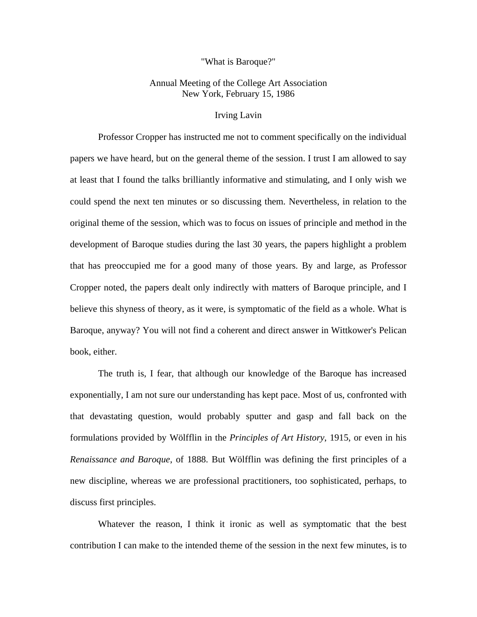## "What is Baroque?"

## Annual Meeting of the College Art Association New York, February 15, 1986

## Irving Lavin

Professor Cropper has instructed me not to comment specifically on the individual papers we have heard, but on the general theme of the session. I trust I am allowed to say at least that I found the talks brilliantly informative and stimulating, and I only wish we could spend the next ten minutes or so discussing them. Nevertheless, in relation to the original theme of the session, which was to focus on issues of principle and method in the development of Baroque studies during the last 30 years, the papers highlight a problem that has preoccupied me for a good many of those years. By and large, as Professor Cropper noted, the papers dealt only indirectly with matters of Baroque principle, and I believe this shyness of theory, as it were, is symptomatic of the field as a whole. What is Baroque, anyway? You will not find a coherent and direct answer in Wittkower's Pelican book, either.

The truth is, I fear, that although our knowledge of the Baroque has increased exponentially, I am not sure our understanding has kept pace. Most of us, confronted with that devastating question, would probably sputter and gasp and fall back on the formulations provided by Wölfflin in the *Principles of Art History*, 1915, or even in his *Renaissance and Baroque*, of 1888. But Wölfflin was defining the first principles of a new discipline, whereas we are professional practitioners, too sophisticated, perhaps, to discuss first principles.

Whatever the reason, I think it ironic as well as symptomatic that the best contribution I can make to the intended theme of the session in the next few minutes, is to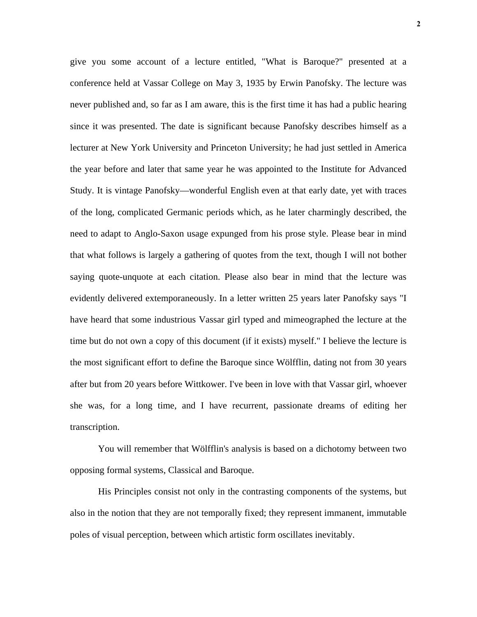give you some account of a lecture entitled, "What is Baroque?" presented at a conference held at Vassar College on May 3, 1935 by Erwin Panofsky. The lecture was never published and, so far as I am aware, this is the first time it has had a public hearing since it was presented. The date is significant because Panofsky describes himself as a lecturer at New York University and Princeton University; he had just settled in America the year before and later that same year he was appointed to the Institute for Advanced Study. It is vintage Panofsky—wonderful English even at that early date, yet with traces of the long, complicated Germanic periods which, as he later charmingly described, the need to adapt to Anglo-Saxon usage expunged from his prose style. Please bear in mind that what follows is largely a gathering of quotes from the text, though I will not bother saying quote-unquote at each citation. Please also bear in mind that the lecture was evidently delivered extemporaneously. In a letter written 25 years later Panofsky says "I have heard that some industrious Vassar girl typed and mimeographed the lecture at the time but do not own a copy of this document (if it exists) myself." I believe the lecture is the most significant effort to define the Baroque since Wölfflin, dating not from 30 years after but from 20 years before Wittkower. I've been in love with that Vassar girl, whoever she was, for a long time, and I have recurrent, passionate dreams of editing her transcription.

You will remember that Wölfflin's analysis is based on a dichotomy between two opposing formal systems, Classical and Baroque.

His Principles consist not only in the contrasting components of the systems, but also in the notion that they are not temporally fixed; they represent immanent, immutable poles of visual perception, between which artistic form oscillates inevitably.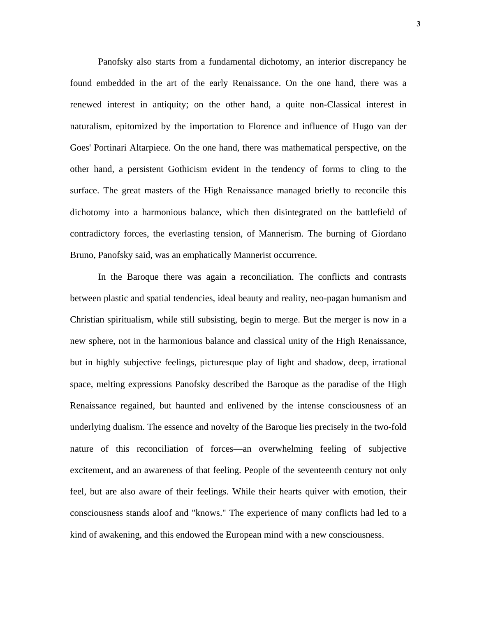Panofsky also starts from a fundamental dichotomy, an interior discrepancy he found embedded in the art of the early Renaissance. On the one hand, there was a renewed interest in antiquity; on the other hand, a quite non-Classical interest in naturalism, epitomized by the importation to Florence and influence of Hugo van der Goes' Portinari Altarpiece. On the one hand, there was mathematical perspective, on the other hand, a persistent Gothicism evident in the tendency of forms to cling to the surface. The great masters of the High Renaissance managed briefly to reconcile this dichotomy into a harmonious balance, which then disintegrated on the battlefield of contradictory forces, the everlasting tension, of Mannerism. The burning of Giordano Bruno, Panofsky said, was an emphatically Mannerist occurrence.

In the Baroque there was again a reconciliation. The conflicts and contrasts between plastic and spatial tendencies, ideal beauty and reality, neo-pagan humanism and Christian spiritualism, while still subsisting, begin to merge. But the merger is now in a new sphere, not in the harmonious balance and classical unity of the High Renaissance, but in highly subjective feelings, picturesque play of light and shadow, deep, irrational space, melting expressions Panofsky described the Baroque as the paradise of the High Renaissance regained, but haunted and enlivened by the intense consciousness of an underlying dualism. The essence and novelty of the Baroque lies precisely in the two-fold nature of this reconciliation of forces—an overwhelming feeling of subjective excitement, and an awareness of that feeling. People of the seventeenth century not only feel, but are also aware of their feelings. While their hearts quiver with emotion, their consciousness stands aloof and "knows." The experience of many conflicts had led to a kind of awakening, and this endowed the European mind with a new consciousness.